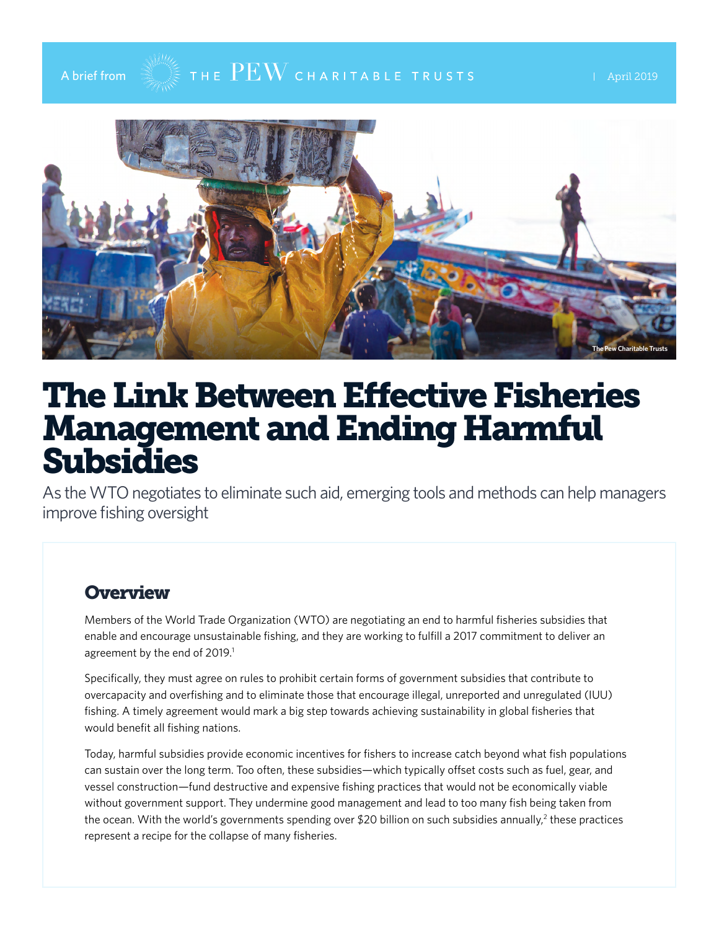

# A brief from  $\mathbb{R}$   $\mathbb{R}$   $\mathbb{R}$   $\mathbb{R}$   $\mathbb{R}$   $\mathbb{R}$   $\mathbb{R}$   $\mathbb{R}$   $\mathbb{R}$   $\mathbb{R}$   $\mathbb{R}$   $\mathbb{R}$   $\mathbb{R}$   $\mathbb{R}$   $\mathbb{R}$   $\mathbb{R}$   $\mathbb{R}$   $\mathbb{R}$   $\mathbb{R}$   $\mathbb{R}$   $\mathbb{R}$   $\mathbb{R}$   $\mathbb{R}$



# The Link Between Effective Fisheries Management and Ending Harmful Subsidies

As the WTO negotiates to eliminate such aid, emerging tools and methods can help managers improve fishing oversight

#### **Overview**

Members of the World Trade Organization (WTO) are negotiating an end to harmful fisheries subsidies that enable and encourage unsustainable fishing, and they are working to fulfill a 2017 commitment to deliver an agreement by the end of 2019.<sup>1</sup>

Specifically, they must agree on rules to prohibit certain forms of government subsidies that contribute to overcapacity and overfishing and to eliminate those that encourage illegal, unreported and unregulated (IUU) fishing. A timely agreement would mark a big step towards achieving sustainability in global fisheries that would benefit all fishing nations.

Today, harmful subsidies provide economic incentives for fishers to increase catch beyond what fish populations can sustain over the long term. Too often, these subsidies—which typically offset costs such as fuel, gear, and vessel construction—fund destructive and expensive fishing practices that would not be economically viable without government support. They undermine good management and lead to too many fish being taken from the ocean. With the world's governments spending over \$20 billion on such subsidies annually, $^2$  these practices represent a recipe for the collapse of many fisheries.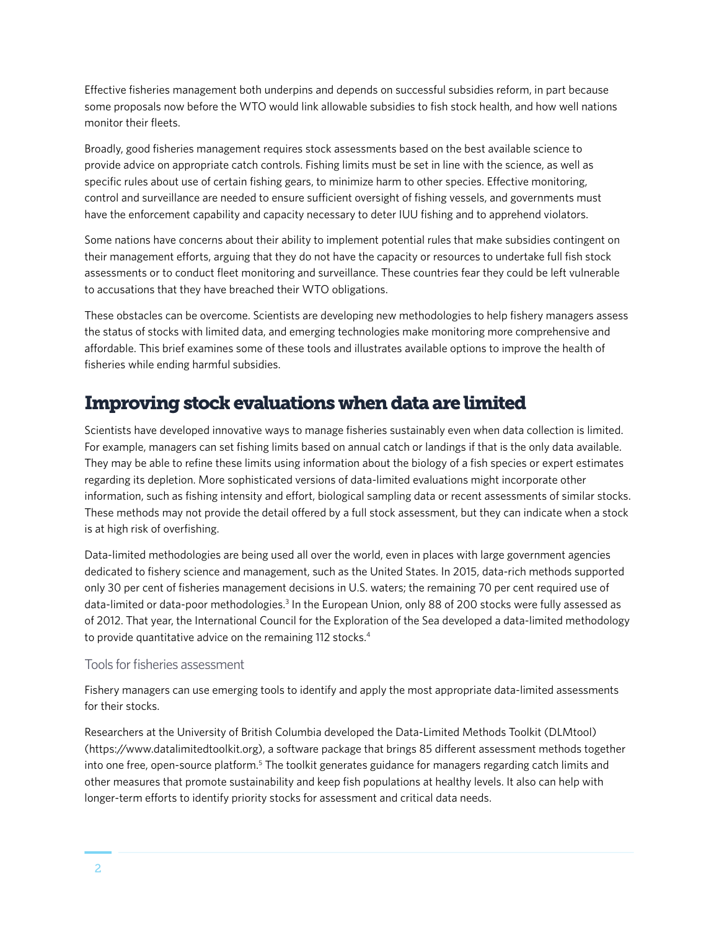Effective fisheries management both underpins and depends on successful subsidies reform, in part because some proposals now before the WTO would link allowable subsidies to fish stock health, and how well nations monitor their fleets.

Broadly, good fisheries management requires stock assessments based on the best available science to provide advice on appropriate catch controls. Fishing limits must be set in line with the science, as well as specific rules about use of certain fishing gears, to minimize harm to other species. Effective monitoring, control and surveillance are needed to ensure sufficient oversight of fishing vessels, and governments must have the enforcement capability and capacity necessary to deter IUU fishing and to apprehend violators.

Some nations have concerns about their ability to implement potential rules that make subsidies contingent on their management efforts, arguing that they do not have the capacity or resources to undertake full fish stock assessments or to conduct fleet monitoring and surveillance. These countries fear they could be left vulnerable to accusations that they have breached their WTO obligations.

These obstacles can be overcome. Scientists are developing new methodologies to help fishery managers assess the status of stocks with limited data, and emerging technologies make monitoring more comprehensive and affordable. This brief examines some of these tools and illustrates available options to improve the health of fisheries while ending harmful subsidies.

### Improving stock evaluations when data are limited

Scientists have developed innovative ways to manage fisheries sustainably even when data collection is limited. For example, managers can set fishing limits based on annual catch or landings if that is the only data available. They may be able to refine these limits using information about the biology of a fish species or expert estimates regarding its depletion. More sophisticated versions of data-limited evaluations might incorporate other information, such as fishing intensity and effort, biological sampling data or recent assessments of similar stocks. These methods may not provide the detail offered by a full stock assessment, but they can indicate when a stock is at high risk of overfishing.

Data-limited methodologies are being used all over the world, even in places with large government agencies dedicated to fishery science and management, such as the United States. In 2015, data-rich methods supported only 30 per cent of fisheries management decisions in U.S. waters; the remaining 70 per cent required use of data-limited or data-poor methodologies.<sup>3</sup> In the European Union, only 88 of 200 stocks were fully assessed as of 2012. That year, the International Council for the Exploration of the Sea developed a data-limited methodology to provide quantitative advice on the remaining 112 stocks.<sup>4</sup>

#### Tools for fisheries assessment

Fishery managers can use emerging tools to identify and apply the most appropriate data-limited assessments for their stocks.

Researchers at the University of British Columbia developed the Data-Limited Methods Toolkit (DLMtool) (https://www.datalimitedtoolkit.org), a software package that brings 85 different assessment methods together into one free, open-source platform.<sup>5</sup> The toolkit generates guidance for managers regarding catch limits and other measures that promote sustainability and keep fish populations at healthy levels. It also can help with longer-term efforts to identify priority stocks for assessment and critical data needs.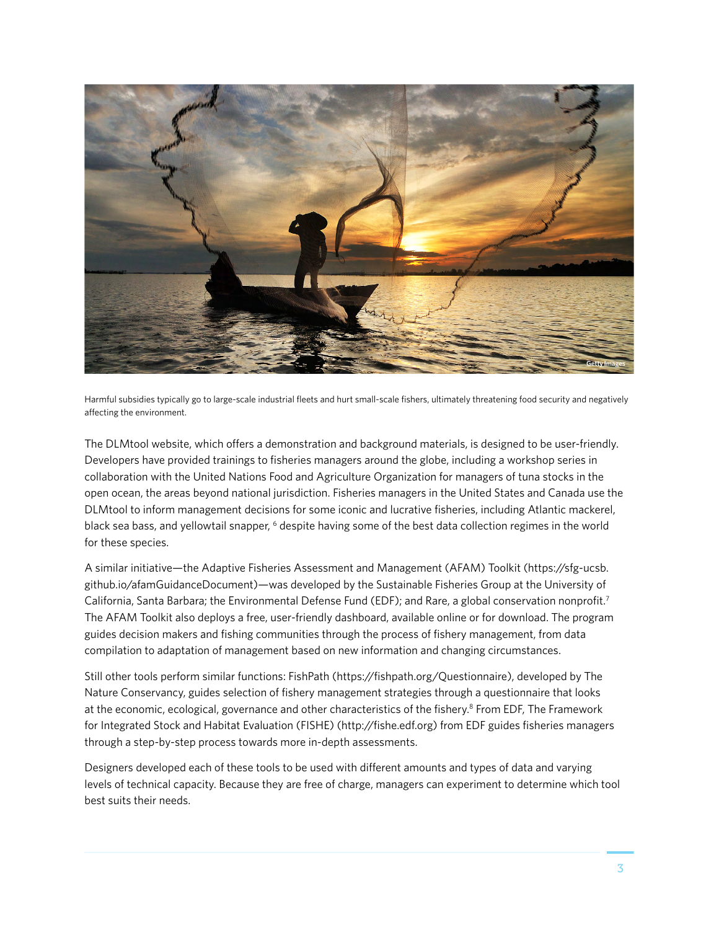

Harmful subsidies typically go to large-scale industrial fleets and hurt small-scale fishers, ultimately threatening food security and negatively affecting the environment.

The DLMtool website, which offers a demonstration and background materials, is designed to be user-friendly. Developers have provided trainings to fisheries managers around the globe, including a workshop series in collaboration with the United Nations Food and Agriculture Organization for managers of tuna stocks in the open ocean, the areas beyond national jurisdiction. Fisheries managers in the United States and Canada use the DLMtool to inform management decisions for some iconic and lucrative fisheries, including Atlantic mackerel, black sea bass, and yellowtail snapper, <sup>6</sup> despite having some of the best data collection regimes in the world for these species.

A similar initiative—the Adaptive Fisheries Assessment and Management (AFAM) Toolkit (https://sfg-ucsb. github.io/afamGuidanceDocument)—was developed by the Sustainable Fisheries Group at the University of California, Santa Barbara; the Environmental Defense Fund (EDF); and Rare, a global conservation nonprofit.<sup>7</sup> The AFAM Toolkit also deploys a free, user-friendly dashboard, available online or for download. The program guides decision makers and fishing communities through the process of fishery management, from data compilation to adaptation of management based on new information and changing circumstances.

Still other tools perform similar functions: FishPath (https://fishpath.org/Questionnaire), developed by The Nature Conservancy, guides selection of fishery management strategies through a questionnaire that looks at the economic, ecological, governance and other characteristics of the fishery.<sup>8</sup> From EDF, The Framework for Integrated Stock and Habitat Evaluation (FISHE) (http://fishe.edf.org) from EDF guides fisheries managers through a step-by-step process towards more in-depth assessments.

Designers developed each of these tools to be used with different amounts and types of data and varying levels of technical capacity. Because they are free of charge, managers can experiment to determine which tool best suits their needs.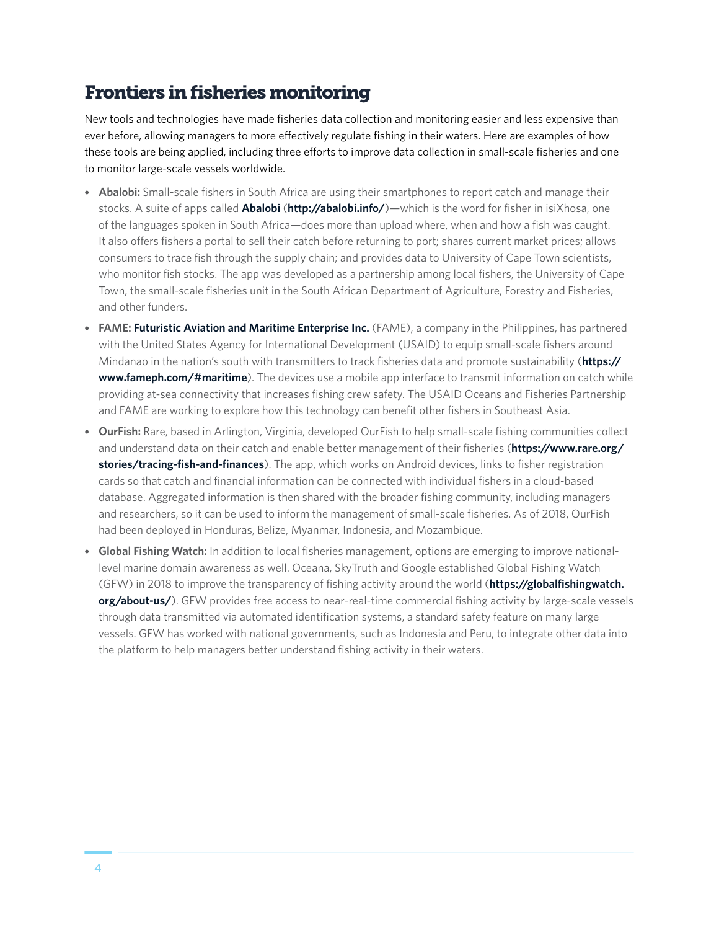## Frontiers in fisheries monitoring

New tools and technologies have made fisheries data collection and monitoring easier and less expensive than ever before, allowing managers to more effectively regulate fishing in their waters. Here are examples of how these tools are being applied, including three efforts to improve data collection in small-scale fisheries and one to monitor large-scale vessels worldwide.

- **Abalobi:** Small-scale fishers in South Africa are using their smartphones to report catch and manage their stocks. A suite of apps called **[Abalobi](http://abalobi.info/about/)** (**<http://abalobi.info/>**)—which is the word for fisher in isiXhosa, one of the languages spoken in South Africa—does more than upload where, when and how a fish was caught. It also offers fishers a portal to sell their catch before returning to port; shares current market prices; allows consumers to trace fish through the supply chain; and provides data to University of Cape Town scientists, who monitor fish stocks. The app was developed as a partnership among local fishers, the University of Cape Town, the small-scale fisheries unit in the South African Department of Agriculture, Forestry and Fisheries, and other funders.
- **FAME: [Futuristic Aviation and Maritime Enterprise Inc.](https://www.fameph.com/#maritime)** (FAME), a company in the Philippines, has partnered with the United States Agency for International Development (USAID) to equip small-scale fishers around Mindanao in the nation's south with transmitters to track fisheries data and promote sustainability (**[https://](https://www.fameph.com/#maritime) [www.fameph.com/#maritime](https://www.fameph.com/#maritime)**). The devices use a mobile app interface to transmit information on catch while providing at-sea connectivity that increases fishing crew safety. The USAID Oceans and Fisheries Partnership and FAME are working to explore how this technology can benefit other fishers in Southeast Asia.
- **OurFish:** Rare, based in Arlington, Virginia, developed OurFish to help small-scale fishing communities collect and understand data on their catch and enable better management of their fisheries (**[https://www.rare.org/](https://www.rare.org/stories/tracing-fish-and-finances) [stories/tracing-fish-and-finances](https://www.rare.org/stories/tracing-fish-and-finances)**). The app, which works on Android devices, links to fisher registration cards so that catch and financial information can be connected with individual fishers in a cloud-based database. Aggregated information is then shared with the broader fishing community, including managers and researchers, so it can be used to inform the management of small-scale fisheries. As of 2018, OurFish had been deployed in Honduras, Belize, Myanmar, Indonesia, and Mozambique.
- **Global Fishing Watch:** In addition to local fisheries management, options are emerging to improve nationallevel marine domain awareness as well. Oceana, SkyTruth and Google established Global Fishing Watch (GFW) in 2018 to improve the transparency of fishing activity around the world (**[https://globalfishingwatch.](https://globalfishingwatch.org/about-us/) [org/about-us/](https://globalfishingwatch.org/about-us/)**). GFW provides free access to near-real-time commercial fishing activity by large-scale vessels through data transmitted via automated identification systems, a standard safety feature on many large vessels. GFW has worked with national governments, such as Indonesia and Peru, to integrate other data into the platform to help managers better understand fishing activity in their waters.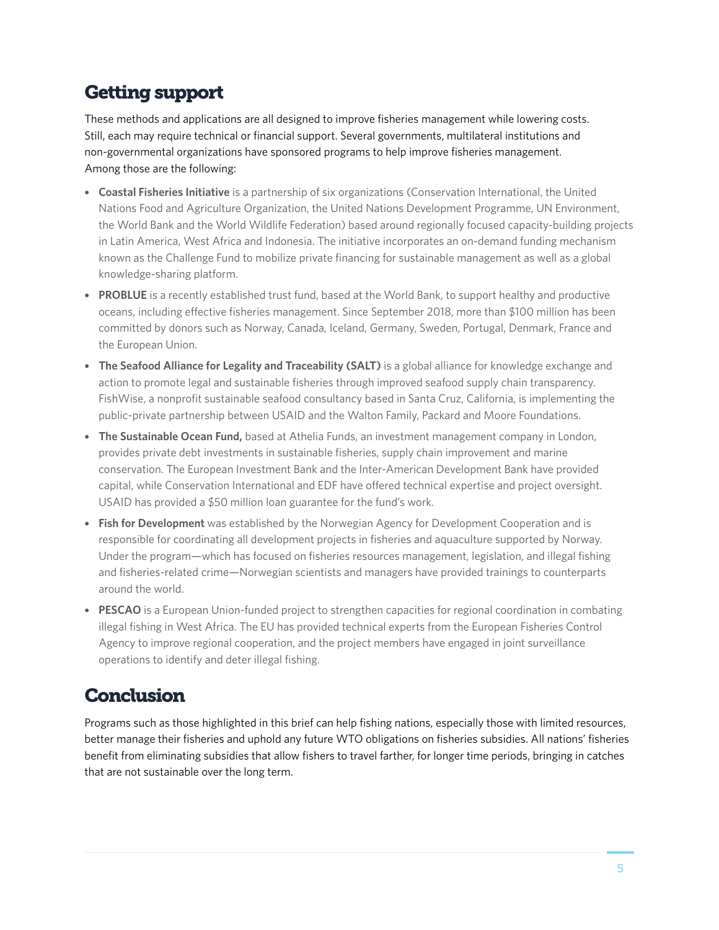# Getting support

These methods and applications are all designed to improve fisheries management while lowering costs. Still, each may require technical or financial support. Several governments, multilateral institutions and non-governmental organizations have sponsored programs to help improve fisheries management. Among those are the following:

- **Coastal Fisheries Initiative** is a partnership of six organizations (Conservation International, the United Nations Food and Agriculture Organization, the United Nations Development Programme, UN Environment, the World Bank and the World Wildlife Federation) based around regionally focused capacity-building projects in Latin America, West Africa and Indonesia. The initiative incorporates an on-demand funding mechanism known as the Challenge Fund to mobilize private financing for sustainable management as well as a global knowledge-sharing platform.
- **PROBLUE** is a recently established trust fund, based at the World Bank, to support healthy and productive oceans, including effective fisheries management. Since September 2018, more than \$100 million has been committed by donors such as Norway, Canada, Iceland, Germany, Sweden, Portugal, Denmark, France and the European Union.
- **The Seafood Alliance for Legality and Traceability (SALT)** is a global alliance for knowledge exchange and action to promote legal and sustainable fisheries through improved seafood supply chain transparency. FishWise, a nonprofit sustainable seafood consultancy based in Santa Cruz, California, is implementing the public-private partnership between USAID and the Walton Family, Packard and Moore Foundations.
- **The Sustainable Ocean Fund,** based at Athelia Funds, an investment management company in London, provides private debt investments in sustainable fisheries, supply chain improvement and marine conservation. The European Investment Bank and the Inter-American Development Bank have provided capital, while Conservation International and EDF have offered technical expertise and project oversight. USAID has provided a \$50 million loan guarantee for the fund's work.
- **Fish for Development** was established by the Norwegian Agency for Development Cooperation and is responsible for coordinating all development projects in fisheries and aquaculture supported by Norway. Under the program—which has focused on fisheries resources management, legislation, and illegal fishing and fisheries-related crime—Norwegian scientists and managers have provided trainings to counterparts around the world.
- **PESCAO** is a European Union-funded project to strengthen capacities for regional coordination in combating illegal fishing in West Africa. The EU has provided technical experts from the European Fisheries Control Agency to improve regional cooperation, and the project members have engaged in joint surveillance operations to identify and deter illegal fishing.

### **Conclusion**

Programs such as those highlighted in this brief can help fishing nations, especially those with limited resources, better manage their fisheries and uphold any future WTO obligations on fisheries subsidies. All nations' fisheries benefit from eliminating subsidies that allow fishers to travel farther, for longer time periods, bringing in catches that are not sustainable over the long term.